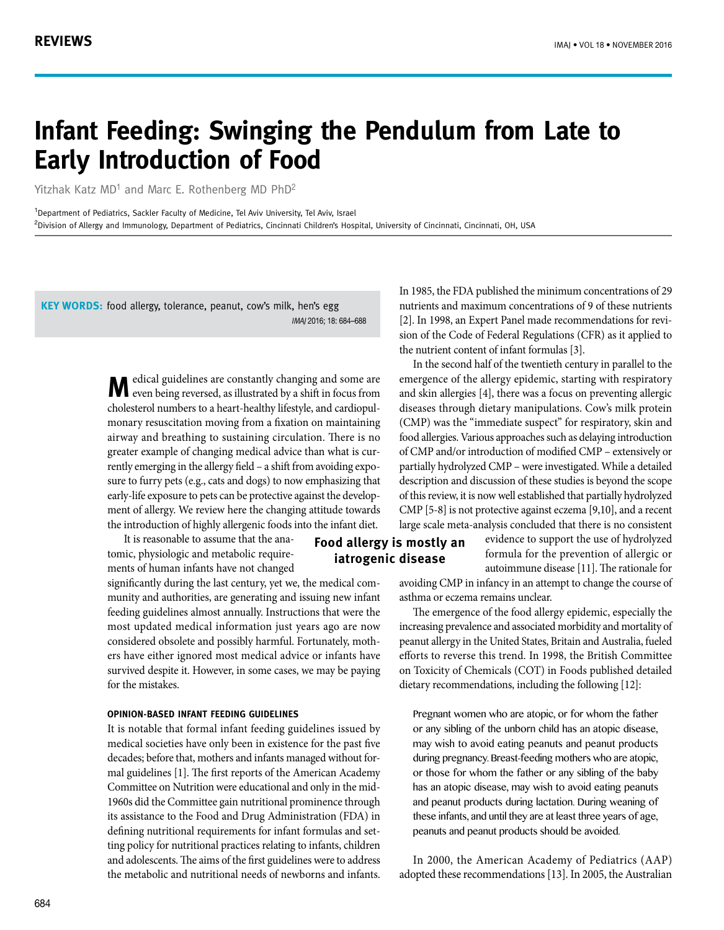# **Infant Feeding: Swinging the Pendulum from Late to Early Introduction of Food**

Yitzhak Katz MD<sup>1</sup> and Marc E. Rothenberg MD PhD<sup>2</sup>

<sup>1</sup>Department of Pediatrics, Sackler Faculty of Medicine, Tel Aviv University, Tel Aviv, Israel <sup>2</sup>Division of Allergy and Immunology, Department of Pediatrics, Cincinnati Children's Hospital, University of Cincinnati, Cincinnati, OH, USA

KEY WORDS: food allergy, tolerance, peanut, cow's milk, hen's egg IMAJ 2016; 18: 684–688

> **M** edical guidelines are constantly changing and some are even being reversed, as illustrated by a shift in focus from cholesterol numbers to a heart-healthy lifestyle, and cardiopulmonary resuscitation moving from a fixation on maintaining airway and breathing to sustaining circulation. There is no greater example of changing medical advice than what is currently emerging in the allergy field – a shift from avoiding exposure to furry pets (e.g., cats and dogs) to now emphasizing that early-life exposure to pets can be protective against the development of allergy. We review here the changing attitude towards the introduction of highly allergenic foods into the infant diet.

 It is reasonable to assume that the anatomic, physiologic and metabolic requirements of human infants have not changed

significantly during the last century, yet we, the medical community and authorities, are generating and issuing new infant feeding guidelines almost annually. Instructions that were the most updated medical information just years ago are now considered obsolete and possibly harmful. Fortunately, mothers have either ignored most medical advice or infants have survived despite it. However, in some cases, we may be paying for the mistakes.

#### **Opinion-based infant feeding guidelines**

It is notable that formal infant feeding guidelines issued by medical societies have only been in existence for the past five decades; before that, mothers and infants managed without formal guidelines [1]. The first reports of the American Academy Committee on Nutrition were educational and only in the mid-1960s did the Committee gain nutritional prominence through its assistance to the Food and Drug Administration (FDA) in defining nutritional requirements for infant formulas and setting policy for nutritional practices relating to infants, children and adolescents. The aims of the first guidelines were to address the metabolic and nutritional needs of newborns and infants. In 1985, the FDA published the minimum concentrations of 29 nutrients and maximum concentrations of 9 of these nutrients [2]. In 1998, an Expert Panel made recommendations for revision of the Code of Federal Regulations (CFR) as it applied to the nutrient content of infant formulas [3].

In the second half of the twentieth century in parallel to the emergence of the allergy epidemic, starting with respiratory and skin allergies [4], there was a focus on preventing allergic diseases through dietary manipulations. Cow's milk protein (CMP) was the "immediate suspect" for respiratory, skin and food allergies. Various approaches such as delaying introduction of CMP and/or introduction of modified CMP – extensively or partially hydrolyzed CMP – were investigated. While a detailed description and discussion of these studies is beyond the scope of this review, it is now well established that partially hydrolyzed CMP [5-8] is not protective against eczema [9,10], and a recent large scale meta-analysis concluded that there is no consistent

## **Food allergy is mostly an iatrogenic disease**

evidence to support the use of hydrolyzed formula for the prevention of allergic or autoimmune disease [11]. The rationale for

avoiding CMP in infancy in an attempt to change the course of asthma or eczema remains unclear.

The emergence of the food allergy epidemic, especially the increasing prevalence and associated morbidity and mortality of peanut allergy in the United States, Britain and Australia, fueled efforts to reverse this trend. In 1998, the British Committee on Toxicity of Chemicals (COT) in Foods published detailed dietary recommendations, including the following [12]:

Pregnant women who are atopic, or for whom the father or any sibling of the unborn child has an atopic disease, may wish to avoid eating peanuts and peanut products during pregnancy. Breast-feeding mothers who are atopic, or those for whom the father or any sibling of the baby has an atopic disease, may wish to avoid eating peanuts and peanut products during lactation. During weaning of these infants, and until they are at least three years of age, peanuts and peanut products should be avoided.

In 2000, the American Academy of Pediatrics (AAP) adopted these recommendations [13]. In 2005, the Australian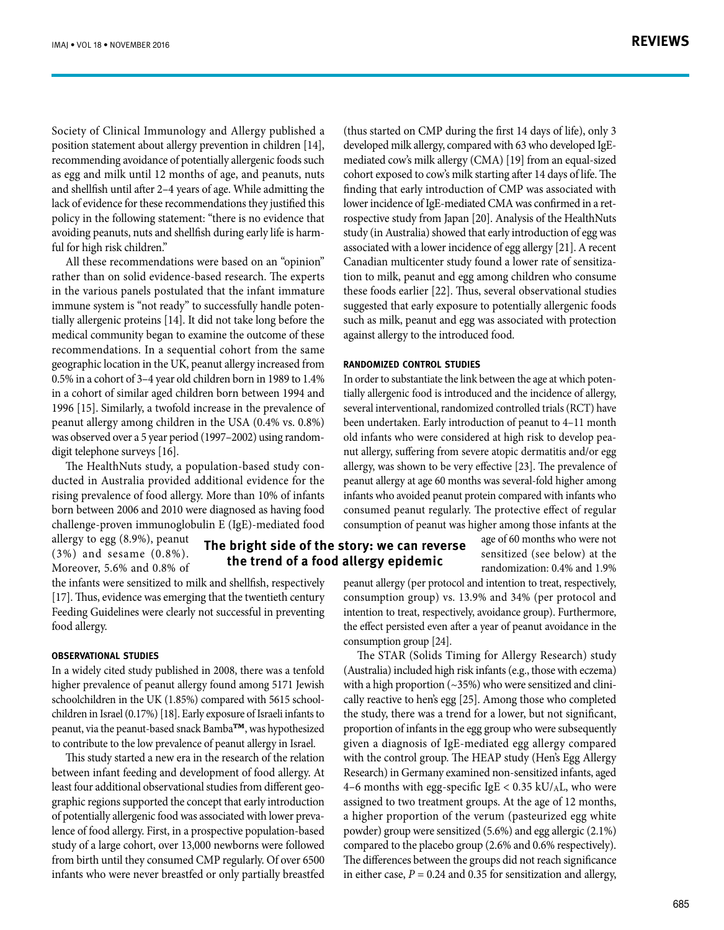Society of Clinical Immunology and Allergy published a position statement about allergy prevention in children [14], recommending avoidance of potentially allergenic foods such as egg and milk until 12 months of age, and peanuts, nuts and shellfish until after 2–4 years of age. While admitting the lack of evidence for these recommendations they justified this policy in the following statement: "there is no evidence that avoiding peanuts, nuts and shellfish during early life is harmful for high risk children."

All these recommendations were based on an "opinion" rather than on solid evidence-based research. The experts in the various panels postulated that the infant immature immune system is "not ready" to successfully handle potentially allergenic proteins [14]. It did not take long before the medical community began to examine the outcome of these recommendations. In a sequential cohort from the same geographic location in the UK, peanut allergy increased from 0.5% in a cohort of 3–4 year old children born in 1989 to 1.4% in a cohort of similar aged children born between 1994 and 1996 [15]. Similarly, a twofold increase in the prevalence of peanut allergy among children in the USA (0.4% vs. 0.8%) was observed over a 5 year period (1997–2002) using randomdigit telephone surveys [16].

The HealthNuts study, a population-based study conducted in Australia provided additional evidence for the rising prevalence of food allergy. More than 10% of infants born between 2006 and 2010 were diagnosed as having food challenge-proven immunoglobulin E (IgE)-mediated food

allergy to egg (8.9%), peanut (3%) and sesame (0.8%). Moreover, 5.6% and 0.8% of

# **The bright side of the story: we can reverse the trend of a food allergy epidemic**

the infants were sensitized to milk and shellfish, respectively [17]. Thus, evidence was emerging that the twentieth century Feeding Guidelines were clearly not successful in preventing food allergy.

#### **Observational studies**

In a widely cited study published in 2008, there was a tenfold higher prevalence of peanut allergy found among 5171 Jewish schoolchildren in the UK (1.85%) compared with 5615 schoolchildren in Israel (0.17%) [18]. Early exposure of Israeli infants to peanut, via the peanut-based snack Bamba**™**, was hypothesized to contribute to the low prevalence of peanut allergy in Israel.

This study started a new era in the research of the relation between infant feeding and development of food allergy. At least four additional observational studies from different geographic regions supported the concept that early introduction of potentially allergenic food was associated with lower prevalence of food allergy. First, in a prospective population-based study of a large cohort, over 13,000 newborns were followed from birth until they consumed CMP regularly. Of over 6500 infants who were never breastfed or only partially breastfed (thus started on CMP during the first 14 days of life), only 3 developed milk allergy, compared with 63 who developed IgEmediated cow's milk allergy (CMA) [19] from an equal-sized cohort exposed to cow's milk starting after 14 days of life. The finding that early introduction of CMP was associated with lower incidence of IgE-mediated CMA was confirmed in a retrospective study from Japan [20]. Analysis of the HealthNuts study (in Australia) showed that early introduction of egg was associated with a lower incidence of egg allergy [21]. A recent Canadian multicenter study found a lower rate of sensitization to milk, peanut and egg among children who consume these foods earlier [22]. Thus, several observational studies suggested that early exposure to potentially allergenic foods such as milk, peanut and egg was associated with protection against allergy to the introduced food.

### **Randomized control studies**

In order to substantiate the link between the age at which potentially allergenic food is introduced and the incidence of allergy, several interventional, randomized controlled trials (RCT) have been undertaken. Early introduction of peanut to 4–11 month old infants who were considered at high risk to develop peanut allergy, suffering from severe atopic dermatitis and/or egg allergy, was shown to be very effective [23]. The prevalence of peanut allergy at age 60 months was several-fold higher among infants who avoided peanut protein compared with infants who consumed peanut regularly. The protective effect of regular consumption of peanut was higher among those infants at the

> age of 60 months who were not sensitized (see below) at the randomization: 0.4% and 1.9%

peanut allergy (per protocol and intention to treat, respectively, consumption group) vs. 13.9% and 34% (per protocol and intention to treat, respectively, avoidance group). Furthermore, the effect persisted even after a year of peanut avoidance in the consumption group [24].

The STAR (Solids Timing for Allergy Research) study (Australia) included high risk infants (e.g., those with eczema) with a high proportion  $(\sim 35\%)$  who were sensitized and clinically reactive to hen's egg [25]. Among those who completed the study, there was a trend for a lower, but not significant, proportion of infants in the egg group who were subsequently given a diagnosis of IgE-mediated egg allergy compared with the control group. The HEAP study (Hen's Egg Allergy Research) in Germany examined non-sensitized infants, aged 4–6 months with egg-specific IgE < 0.35 kU/AL, who were assigned to two treatment groups. At the age of 12 months, a higher proportion of the verum (pasteurized egg white powder) group were sensitized (5.6%) and egg allergic (2.1%) compared to the placebo group (2.6% and 0.6% respectively). The differences between the groups did not reach significance in either case,  $P = 0.24$  and 0.35 for sensitization and allergy,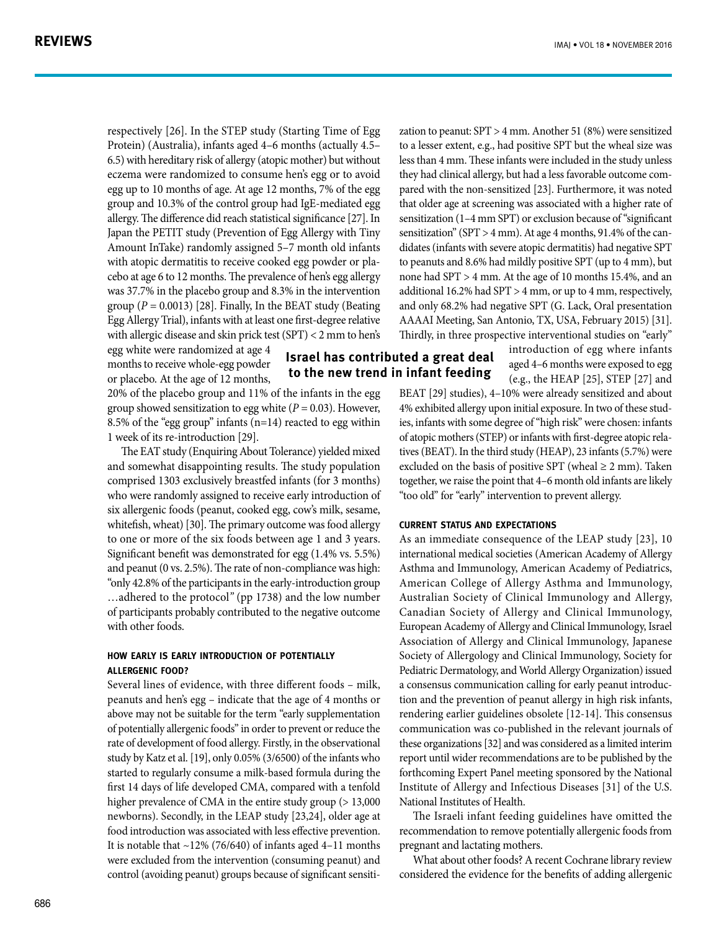respectively [26]. In the STEP study (Starting Time of Egg Protein) (Australia), infants aged 4–6 months (actually 4.5– 6.5) with hereditary risk of allergy (atopic mother) but without eczema were randomized to consume hen's egg or to avoid egg up to 10 months of age. At age 12 months, 7% of the egg group and 10.3% of the control group had IgE-mediated egg allergy. The difference did reach statistical significance [27]. In Japan the PETIT study (Prevention of Egg Allergy with Tiny Amount InTake) randomly assigned 5–7 month old infants with atopic dermatitis to receive cooked egg powder or placebo at age 6 to 12 months. The prevalence of hen's egg allergy was 37.7% in the placebo group and 8.3% in the intervention group  $(P = 0.0013)$  [28]. Finally, In the BEAT study (Beating Egg Allergy Trial), infants with at least one first-degree relative with allergic disease and skin prick test (SPT) < 2 mm to hen's

egg white were randomized at age 4 months to receive whole-egg powder or placebo. At the age of 12 months,

20% of the placebo group and 11% of the infants in the egg group showed sensitization to egg white  $(P = 0.03)$ . However, 8.5% of the "egg group" infants (n=14) reacted to egg within 1 week of its re-introduction [29].

The EAT study (Enquiring About Tolerance) yielded mixed and somewhat disappointing results. The study population comprised 1303 exclusively breastfed infants (for 3 months) who were randomly assigned to receive early introduction of six allergenic foods (peanut, cooked egg, cow's milk, sesame, whitefish, wheat) [30]. The primary outcome was food allergy to one or more of the six foods between age 1 and 3 years. Significant benefit was demonstrated for egg (1.4% vs. 5.5%) and peanut (0 vs. 2.5%). The rate of non-compliance was high: "only 42.8% of the participants in the early-introduction group …adhered to the protocol*"* (pp 1738) and the low number of participants probably contributed to the negative outcome with other foods.

#### **How early is early introduction of potentially allergenic food?**

Several lines of evidence, with three different foods – milk, peanuts and hen's egg – indicate that the age of 4 months or above may not be suitable for the term "early supplementation of potentially allergenic foods" in order to prevent or reduce the rate of development of food allergy. Firstly, in the observational study by Katz et al. [19], only 0.05% (3/6500) of the infants who started to regularly consume a milk-based formula during the first 14 days of life developed CMA, compared with a tenfold higher prevalence of CMA in the entire study group ( $> 13,000$ newborns). Secondly, in the LEAP study [23,24], older age at food introduction was associated with less effective prevention. It is notable that  $\sim$ 12% (76/640) of infants aged 4–11 months were excluded from the intervention (consuming peanut) and control (avoiding peanut) groups because of significant sensitization to peanut: SPT > 4 mm. Another 51 (8%) were sensitized to a lesser extent, e.g., had positive SPT but the wheal size was less than 4 mm. These infants were included in the study unless they had clinical allergy, but had a less favorable outcome compared with the non-sensitized [23]. Furthermore, it was noted that older age at screening was associated with a higher rate of sensitization (1–4 mm SPT) or exclusion because of "significant sensitization" (SPT > 4 mm). At age 4 months, 91.4% of the candidates (infants with severe atopic dermatitis) had negative SPT to peanuts and 8.6% had mildly positive SPT (up to 4 mm), but none had SPT > 4 mm. At the age of 10 months 15.4%, and an additional 16.2% had SPT > 4 mm, or up to 4 mm, respectively, and only 68.2% had negative SPT (G. Lack, Oral presentation AAAAI Meeting, San Antonio, TX, USA, February 2015) [31]. Thirdly, in three prospective interventional studies on "early"

> introduction of egg where infants aged 4–6 months were exposed to egg (e.g., the HEAP [25], STEP [27] and

BEAT [29] studies), 4–10% were already sensitized and about 4% exhibited allergy upon initial exposure. In two of these studies, infants with some degree of "high risk" were chosen: infants of atopic mothers (STEP) or infants with first-degree atopic relatives (BEAT). In the third study (HEAP), 23 infants (5.7%) were excluded on the basis of positive SPT (wheal  $\geq 2$  mm). Taken together, we raise the point that 4–6 month old infants are likely "too old" for "early" intervention to prevent allergy.

#### **Current status and expectations**

**Israel has contributed a great deal to the new trend in infant feeding** 

> As an immediate consequence of the LEAP study [23], 10 international medical societies (American Academy of Allergy Asthma and Immunology, American Academy of Pediatrics, American College of Allergy Asthma and Immunology, Australian Society of Clinical Immunology and Allergy, Canadian Society of Allergy and Clinical Immunology, European Academy of Allergy and Clinical Immunology, Israel Association of Allergy and Clinical Immunology, Japanese Society of Allergology and Clinical Immunology, Society for Pediatric Dermatology, and World Allergy Organization) issued a consensus communication calling for early peanut introduction and the prevention of peanut allergy in high risk infants, rendering earlier guidelines obsolete [12-14]. This consensus communication was co-published in the relevant journals of these organizations [32] and was considered as a limited interim report until wider recommendations are to be published by the forthcoming Expert Panel meeting sponsored by the National Institute of Allergy and Infectious Diseases [31] of the U.S. National Institutes of Health.

> The Israeli infant feeding guidelines have omitted the recommendation to remove potentially allergenic foods from pregnant and lactating mothers.

> What about other foods? A recent Cochrane library review considered the evidence for the benefits of adding allergenic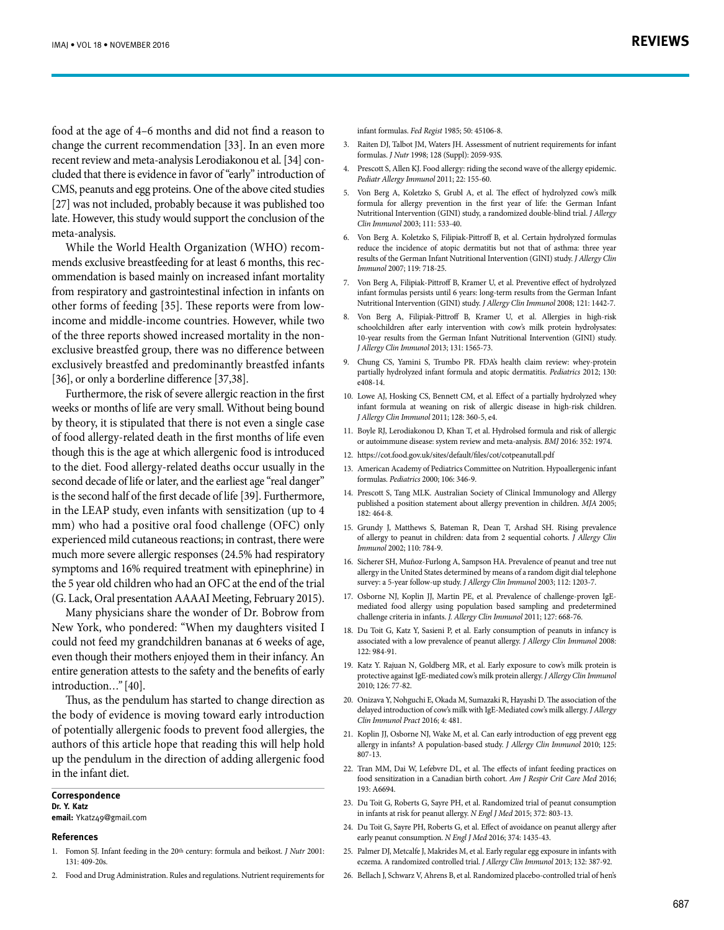food at the age of 4–6 months and did not find a reason to change the current recommendation [33]. In an even more recent review and meta-analysis Lerodiakonou et al. [34] concluded that there is evidence in favor of "early" introduction of CMS, peanuts and egg proteins. One of the above cited studies [27] was not included, probably because it was published too late. However, this study would support the conclusion of the meta-analysis.

While the World Health Organization (WHO) recommends exclusive breastfeeding for at least 6 months, this recommendation is based mainly on increased infant mortality from respiratory and gastrointestinal infection in infants on other forms of feeding [35]. These reports were from lowincome and middle-income countries. However, while two of the three reports showed increased mortality in the nonexclusive breastfed group, there was no difference between exclusively breastfed and predominantly breastfed infants [36], or only a borderline difference [37,38].

Furthermore, the risk of severe allergic reaction in the first weeks or months of life are very small. Without being bound by theory, it is stipulated that there is not even a single case of food allergy-related death in the first months of life even though this is the age at which allergenic food is introduced to the diet. Food allergy-related deaths occur usually in the second decade of life or later, and the earliest age "real danger" is the second half of the first decade of life [39]. Furthermore, in the LEAP study, even infants with sensitization (up to 4 mm) who had a positive oral food challenge (OFC) only experienced mild cutaneous reactions; in contrast, there were much more severe allergic responses (24.5% had respiratory symptoms and 16% required treatment with epinephrine) in the 5 year old children who had an OFC at the end of the trial (G. Lack, Oral presentation AAAAI Meeting, February 2015).

Many physicians share the wonder of Dr. Bobrow from New York, who pondered: "When my daughters visited I could not feed my grandchildren bananas at 6 weeks of age, even though their mothers enjoyed them in their infancy. An entire generation attests to the safety and the benefits of early introduction*…"* [40].

Thus, as the pendulum has started to change direction as the body of evidence is moving toward early introduction of potentially allergenic foods to prevent food allergies, the authors of this article hope that reading this will help hold up the pendulum in the direction of adding allergenic food in the infant diet.

#### **Correspondence Dr. Y. Katz**

**email:** Ykatz49@gmail.com

#### **References**

- 1. Fomon SJ. Infant feeding in the 20th century: formula and beikost. *J Nutr* 2001: 131: 409-20s.
- 2. Food and Drug Administration. Rules and regulations. Nutrient requirements for

infant formulas. *Fed Regist* 1985; 50: 45106-8.

- 3. Raiten DJ, Talbot JM, Waters JH. Assessment of nutrient requirements for infant formulas. *J Nutr* 1998; 128 (Suppl): 2059-93S.
- 4. Prescott S, Allen KJ. Food allergy: riding the second wave of the allergy epidemic. *Pediatr Allergy Immunol* 2011; 22: 155-60.
- 5. Von Berg A, Koletzko S, Grubl A, et al. The effect of hydrolyzed cow's milk formula for allergy prevention in the first year of life: the German Infant Nutritional Intervention (GINI) study, a randomized double-blind trial. *J Allergy Clin Immunol* 2003; 111: 533-40.
- 6. Von Berg A. Koletzko S, Filipiak-Pittroff B, et al. Certain hydrolyzed formulas reduce the incidence of atopic dermatitis but not that of asthma: three year results of the German Infant Nutritional Intervention (GINI) study. *J Allergy Clin Immunol* 2007; 119: 718-25.
- 7. Von Berg A, Filipiak-Pittroff B, Kramer U, et al. Preventive effect of hydrolyzed infant formulas persists until 6 years: long-term results from the German Infant Nutritional Intervention (GINI) study. *J Allergy Clin Immunol* 2008; 121: 1442-7.
- 8. Von Berg A, Filipiak-Pittroff B, Kramer U, et al. Allergies in high-risk schoolchildren after early intervention with cow's milk protein hydrolysates: 10-year results from the German Infant Nutritional Intervention (GINI) study. *J Allergy Clin Immunol* 2013; 131: 1565-73.
- 9. Chung CS, Yamini S, Trumbo PR. FDA's health claim review: whey-protein partially hydrolyzed infant formula and atopic dermatitis. *Pediatrics* 2012; 130: e408-14.
- 10. Lowe AJ, Hosking CS, Bennett CM, et al. Effect of a partially hydrolyzed whey infant formula at weaning on risk of allergic disease in high-risk children. *J Allergy Clin Immunol* 2011; 128: 360-5, e4.
- 11. Boyle RJ, Lerodiakonou D, Khan T, et al. Hydrolsed formula and risk of allergic or autoimmune disease: system review and meta-analysis. *BMJ* 2016: 352: 1974.
- 12. https://cot.food.gov.uk/sites/default/files/cot/cotpeanutall.pdf
- 13. American Academy of Pediatrics Committee on Nutrition. Hypoallergenic infant formulas. *Pediatrics* 2000; 106: 346-9.
- 14. Prescott S, Tang MLK. Australian Society of Clinical Immunology and Allergy published a position statement about allergy prevention in children. *MJA* 2005; 182: 464-8.
- 15. Grundy J, Matthews S, Bateman R, Dean T, Arshad SH. Rising prevalence of allergy to peanut in children: data from 2 sequential cohorts. *J Allergy Clin Immunol* 2002; 110: 784-9.
- 16. Sicherer SH, Muñoz-Furlong A, Sampson HA. Prevalence of peanut and tree nut allergy in the United States determined by means of a random digit dial telephone survey: a 5-year follow-up study. *J Allergy Clin Immunol* 2003; 112: 1203-7.
- 17. Osborne NJ, Koplin JJ, Martin PE, et al. Prevalence of challenge-proven IgEmediated food allergy using population based sampling and predetermined challenge criteria in infants. *J. Allergy Clin Immunol* 2011; 127: 668-76.
- 18. Du Toit G, Katz Y, Sasieni P, et al. Early consumption of peanuts in infancy is associated with a low prevalence of peanut allergy. *J Allergy Clin Immunol* 2008: 122: 984-91.
- 19. Katz Y. Rajuan N, Goldberg MR, et al. Early exposure to cow's milk protein is protective against IgE-mediated cow's milk protein allergy. *J Allergy Clin Immunol* 2010; 126: 77-82.
- 20. Onizava Y, Nohguchi E, Okada M, Sumazaki R, Hayashi D. The association of the delayed introduction of cow's milk with IgE-Mediated cow's milk allergy. *J Allergy Clin Immunol Pract* 2016; 4: 481.
- 21. Koplin JJ, Osborne NJ, Wake M, et al. Can early introduction of egg prevent egg allergy in infants? A population-based study. *J Allergy Clin Immunol* 2010; 125: 807-13.
- 22. Tran MM, Dai W, Lefebvre DL, et al. The effects of infant feeding practices on food sensitization in a Canadian birth cohort. *Am J Respir Crit Care Med* 2016; 193: A6694.
- 23. Du Toit G, Roberts G, Sayre PH, et al. Randomized trial of peanut consumption in infants at risk for peanut allergy. *N Engl J Med* 2015; 372: 803-13.
- 24. Du Toit G, Sayre PH, Roberts G, et al. Effect of avoidance on peanut allergy after early peanut consumption. *N Engl J Med* 2016; 374: 1435-43.
- 25. Palmer DJ, Metcalfe J, Makrides M, et al. Early regular egg exposure in infants with eczema. A randomized controlled trial. *J Allergy Clin Immunol* 2013; 132: 387-92.
- 26. Bellach J, Schwarz V, Ahrens B, et al. Randomized placebo-controlled trial of hen's